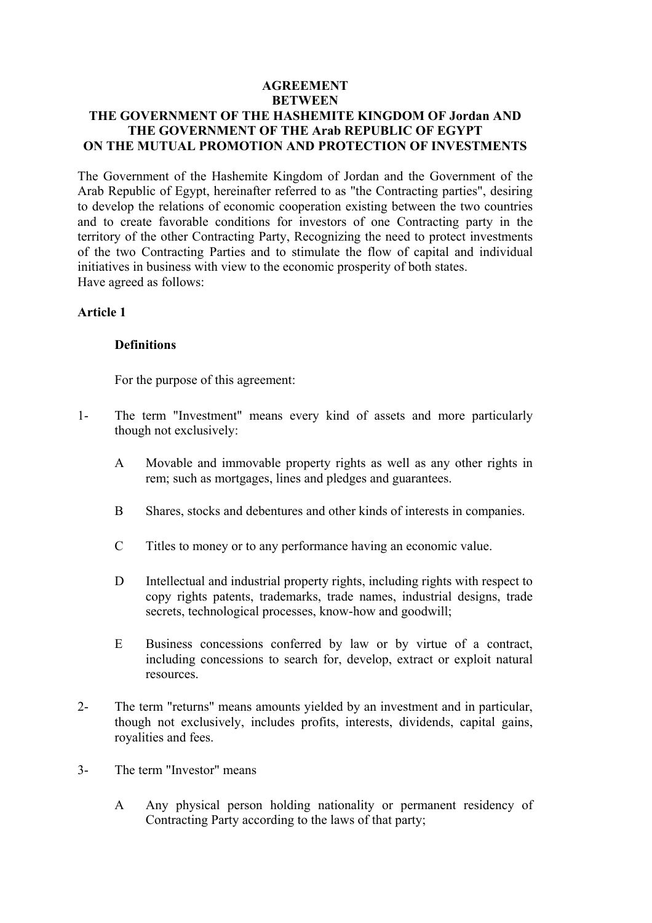### **AGREEMENT BETWEEN THE GOVERNMENT OF THE HASHEMITE KINGDOM OF Jordan AND THE GOVERNMENT OF THE Arab REPUBLIC OF EGYPT ON THE MUTUAL PROMOTION AND PROTECTION OF INVESTMENTS**

The Government of the Hashemite Kingdom of Jordan and the Government of the Arab Republic of Egypt, hereinafter referred to as "the Contracting parties", desiring to develop the relations of economic cooperation existing between the two countries and to create favorable conditions for investors of one Contracting party in the territory of the other Contracting Party, Recognizing the need to protect investments of the two Contracting Parties and to stimulate the flow of capital and individual initiatives in business with view to the economic prosperity of both states. Have agreed as follows:

#### **Article 1**

#### **Definitions**

For the purpose of this agreement:

- 1- The term "Investment" means every kind of assets and more particularly though not exclusively:
	- A Movable and immovable property rights as well as any other rights in rem; such as mortgages, lines and pledges and guarantees.
	- B Shares, stocks and debentures and other kinds of interests in companies.
	- C Titles to money or to any performance having an economic value.
	- D Intellectual and industrial property rights, including rights with respect to copy rights patents, trademarks, trade names, industrial designs, trade secrets, technological processes, know-how and goodwill;
	- E Business concessions conferred by law or by virtue of a contract, including concessions to search for, develop, extract or exploit natural resources.
- 2- The term "returns" means amounts yielded by an investment and in particular, though not exclusively, includes profits, interests, dividends, capital gains, royalities and fees.
- 3- The term "Investor" means
	- A Any physical person holding nationality or permanent residency of Contracting Party according to the laws of that party;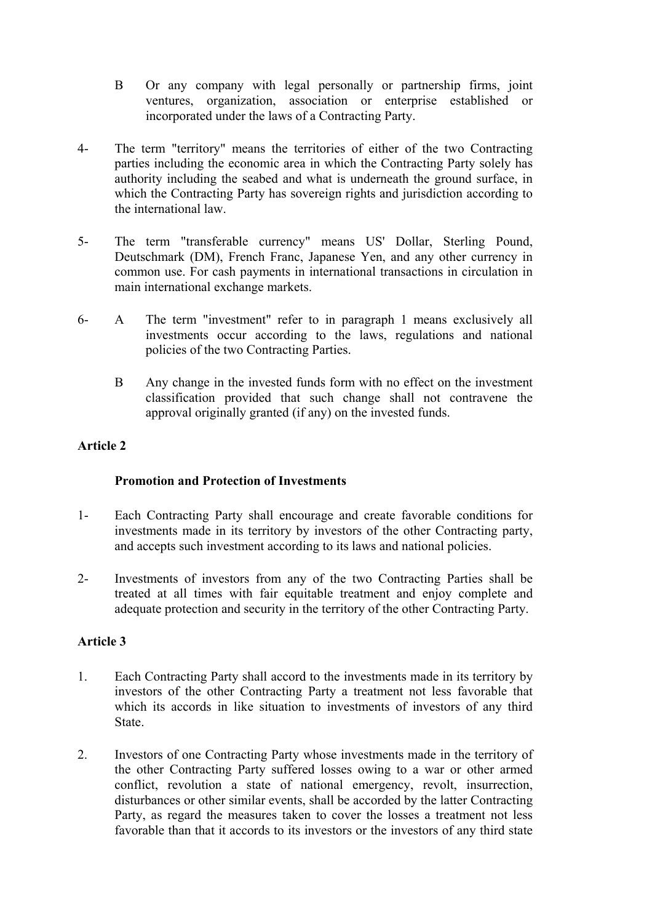- B Or any company with legal personally or partnership firms, joint ventures, organization, association or enterprise established or incorporated under the laws of a Contracting Party.
- 4- The term "territory" means the territories of either of the two Contracting parties including the economic area in which the Contracting Party solely has authority including the seabed and what is underneath the ground surface, in which the Contracting Party has sovereign rights and jurisdiction according to the international law.
- 5- The term "transferable currency" means US' Dollar, Sterling Pound, Deutschmark (DM), French Franc, Japanese Yen, and any other currency in common use. For cash payments in international transactions in circulation in main international exchange markets.
- 6- A The term "investment" refer to in paragraph 1 means exclusively all investments occur according to the laws, regulations and national policies of the two Contracting Parties.
	- B Any change in the invested funds form with no effect on the investment classification provided that such change shall not contravene the approval originally granted (if any) on the invested funds.

## **Article 2**

## **Promotion and Protection of Investments**

- 1- Each Contracting Party shall encourage and create favorable conditions for investments made in its territory by investors of the other Contracting party, and accepts such investment according to its laws and national policies.
- 2- Investments of investors from any of the two Contracting Parties shall be treated at all times with fair equitable treatment and enjoy complete and adequate protection and security in the territory of the other Contracting Party.

## **Article 3**

- 1. Each Contracting Party shall accord to the investments made in its territory by investors of the other Contracting Party a treatment not less favorable that which its accords in like situation to investments of investors of any third State.
- 2. Investors of one Contracting Party whose investments made in the territory of the other Contracting Party suffered losses owing to a war or other armed conflict, revolution a state of national emergency, revolt, insurrection, disturbances or other similar events, shall be accorded by the latter Contracting Party, as regard the measures taken to cover the losses a treatment not less favorable than that it accords to its investors or the investors of any third state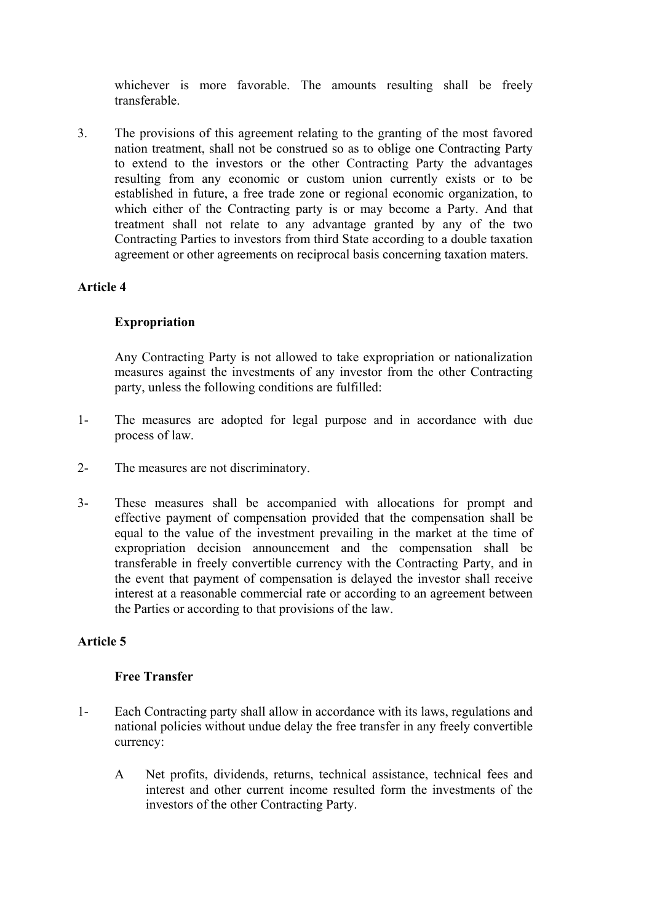whichever is more favorable. The amounts resulting shall be freely transferable.

3. The provisions of this agreement relating to the granting of the most favored nation treatment, shall not be construed so as to oblige one Contracting Party to extend to the investors or the other Contracting Party the advantages resulting from any economic or custom union currently exists or to be established in future, a free trade zone or regional economic organization, to which either of the Contracting party is or may become a Party. And that treatment shall not relate to any advantage granted by any of the two Contracting Parties to investors from third State according to a double taxation agreement or other agreements on reciprocal basis concerning taxation maters.

## **Article 4**

## **Expropriation**

 Any Contracting Party is not allowed to take expropriation or nationalization measures against the investments of any investor from the other Contracting party, unless the following conditions are fulfilled:

- 1- The measures are adopted for legal purpose and in accordance with due process of law.
- 2- The measures are not discriminatory.
- 3- These measures shall be accompanied with allocations for prompt and effective payment of compensation provided that the compensation shall be equal to the value of the investment prevailing in the market at the time of expropriation decision announcement and the compensation shall be transferable in freely convertible currency with the Contracting Party, and in the event that payment of compensation is delayed the investor shall receive interest at a reasonable commercial rate or according to an agreement between the Parties or according to that provisions of the law.

## **Article 5**

#### **Free Transfer**

- 1- Each Contracting party shall allow in accordance with its laws, regulations and national policies without undue delay the free transfer in any freely convertible currency:
	- A Net profits, dividends, returns, technical assistance, technical fees and interest and other current income resulted form the investments of the investors of the other Contracting Party.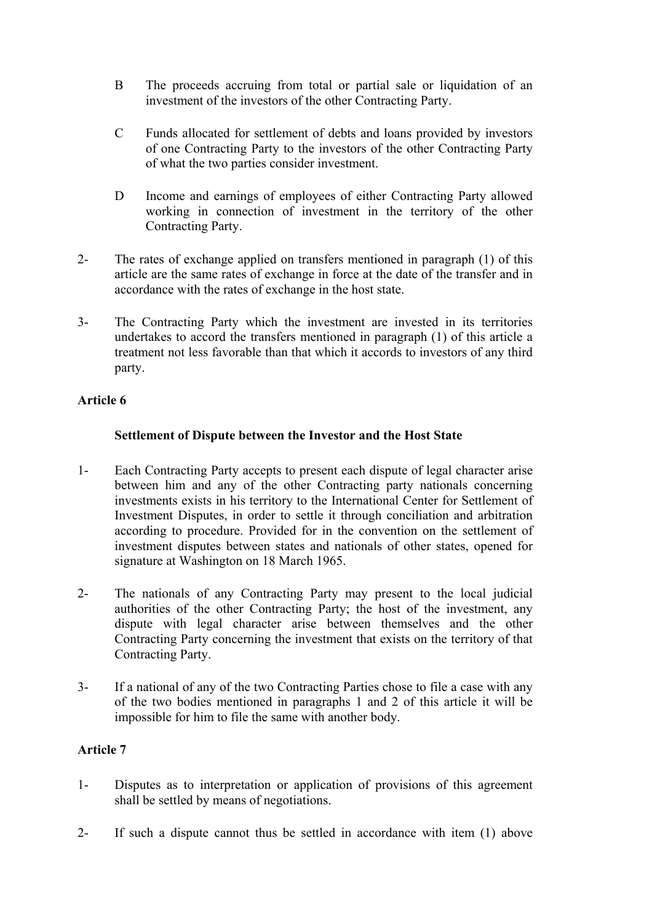- B The proceeds accruing from total or partial sale or liquidation of an investment of the investors of the other Contracting Party.
- C Funds allocated for settlement of debts and loans provided by investors of one Contracting Party to the investors of the other Contracting Party of what the two parties consider investment.
- D Income and earnings of employees of either Contracting Party allowed working in connection of investment in the territory of the other Contracting Party.
- 2- The rates of exchange applied on transfers mentioned in paragraph (1) of this article are the same rates of exchange in force at the date of the transfer and in accordance with the rates of exchange in the host state.
- 3- The Contracting Party which the investment are invested in its territories undertakes to accord the transfers mentioned in paragraph (1) of this article a treatment not less favorable than that which it accords to investors of any third party.

# **Article 6**

# **Settlement of Dispute between the Investor and the Host State**

- 1- Each Contracting Party accepts to present each dispute of legal character arise between him and any of the other Contracting party nationals concerning investments exists in his territory to the International Center for Settlement of Investment Disputes, in order to settle it through conciliation and arbitration according to procedure. Provided for in the convention on the settlement of investment disputes between states and nationals of other states, opened for signature at Washington on 18 March 1965.
- 2- The nationals of any Contracting Party may present to the local judicial authorities of the other Contracting Party; the host of the investment, any dispute with legal character arise between themselves and the other Contracting Party concerning the investment that exists on the territory of that Contracting Party.
- 3- If a national of any of the two Contracting Parties chose to file a case with any of the two bodies mentioned in paragraphs 1 and 2 of this article it will be impossible for him to file the same with another body.

## **Article 7**

- 1- Disputes as to interpretation or application of provisions of this agreement shall be settled by means of negotiations.
- 2- If such a dispute cannot thus be settled in accordance with item (1) above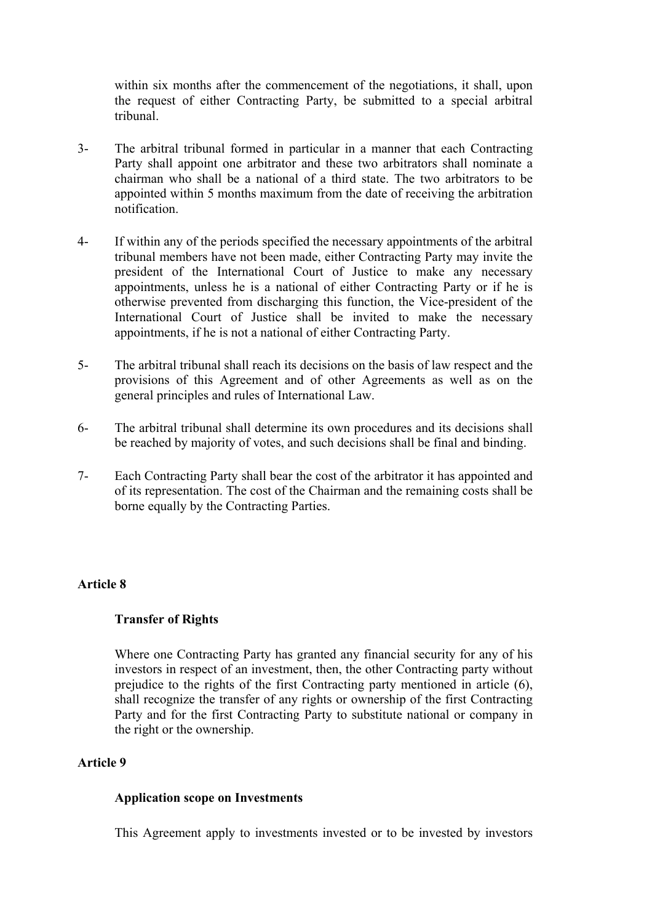within six months after the commencement of the negotiations, it shall, upon the request of either Contracting Party, be submitted to a special arbitral tribunal.

- 3- The arbitral tribunal formed in particular in a manner that each Contracting Party shall appoint one arbitrator and these two arbitrators shall nominate a chairman who shall be a national of a third state. The two arbitrators to be appointed within 5 months maximum from the date of receiving the arbitration notification.
- 4- If within any of the periods specified the necessary appointments of the arbitral tribunal members have not been made, either Contracting Party may invite the president of the International Court of Justice to make any necessary appointments, unless he is a national of either Contracting Party or if he is otherwise prevented from discharging this function, the Vice-president of the International Court of Justice shall be invited to make the necessary appointments, if he is not a national of either Contracting Party.
- 5- The arbitral tribunal shall reach its decisions on the basis of law respect and the provisions of this Agreement and of other Agreements as well as on the general principles and rules of International Law.
- 6- The arbitral tribunal shall determine its own procedures and its decisions shall be reached by majority of votes, and such decisions shall be final and binding.
- 7- Each Contracting Party shall bear the cost of the arbitrator it has appointed and of its representation. The cost of the Chairman and the remaining costs shall be borne equally by the Contracting Parties.

## **Article 8**

### **Transfer of Rights**

 Where one Contracting Party has granted any financial security for any of his investors in respect of an investment, then, the other Contracting party without prejudice to the rights of the first Contracting party mentioned in article (6), shall recognize the transfer of any rights or ownership of the first Contracting Party and for the first Contracting Party to substitute national or company in the right or the ownership.

### **Article 9**

#### **Application scope on Investments**

This Agreement apply to investments invested or to be invested by investors